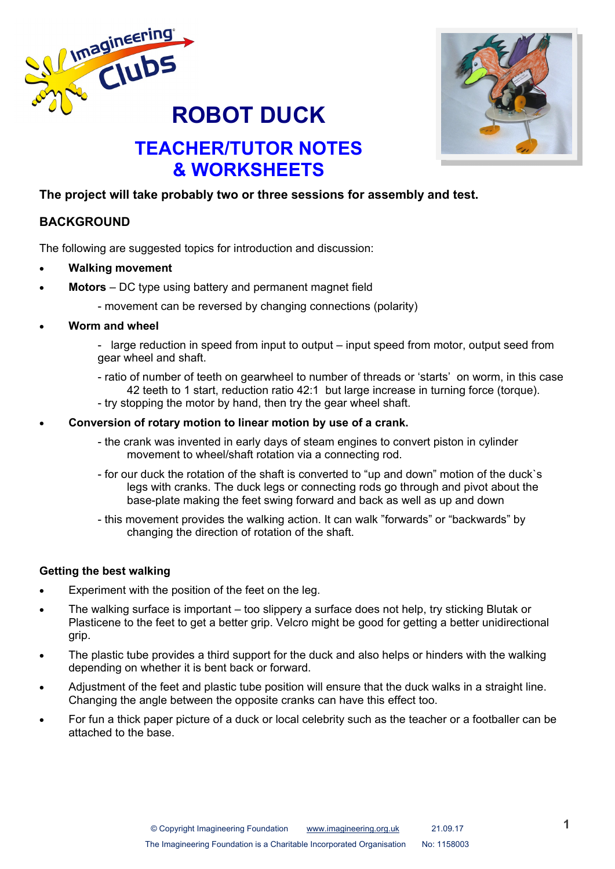



# **TEACHER/TUTOR NOTES & WORKSHEETS**

### **The project will take probably two or three sessions for assembly and test.**

# **BACKGROUND**

The following are suggested topics for introduction and discussion:

- **Walking movement**
- **Motors**  DC type using battery and permanent magnet field
	- movement can be reversed by changing connections (polarity)
- **Worm and wheel**
	- large reduction in speed from input to output input speed from motor, output seed from gear wheel and shaft.
	- ratio of number of teeth on gearwheel to number of threads or 'starts' on worm, in this case 42 teeth to 1 start, reduction ratio 42:1 but large increase in turning force (torque).
	- try stopping the motor by hand, then try the gear wheel shaft.

#### **Conversion of rotary motion to linear motion by use of a crank.**

- the crank was invented in early days of steam engines to convert piston in cylinder movement to wheel/shaft rotation via a connecting rod.
- for our duck the rotation of the shaft is converted to "up and down" motion of the duck`s legs with cranks. The duck legs or connecting rods go through and pivot about the base-plate making the feet swing forward and back as well as up and down
- this movement provides the walking action. It can walk "forwards" or "backwards" by changing the direction of rotation of the shaft.

#### **Getting the best walking**

- Experiment with the position of the feet on the leg.
- The walking surface is important too slippery a surface does not help, try sticking Blutak or Plasticene to the feet to get a better grip. Velcro might be good for getting a better unidirectional grip.
- The plastic tube provides a third support for the duck and also helps or hinders with the walking depending on whether it is bent back or forward.
- Adjustment of the feet and plastic tube position will ensure that the duck walks in a straight line. Changing the angle between the opposite cranks can have this effect too.
- For fun a thick paper picture of a duck or local celebrity such as the teacher or a footballer can be attached to the base.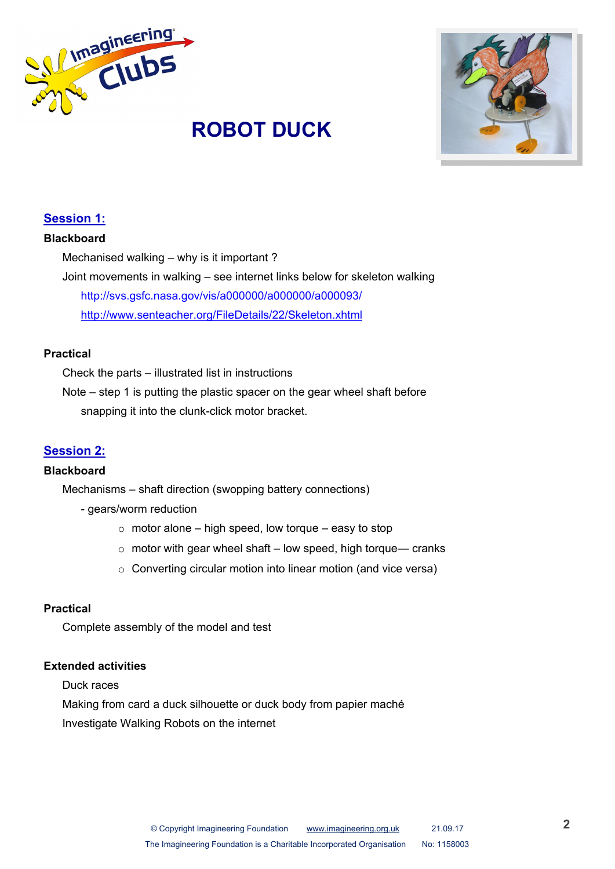



# **Session 1:**

#### **Blackboard**

Mechanised walking – why is it important ?

Joint movements in walking – see internet links below for skeleton walking http://svs.gsfc.nasa.gov/vis/a000000/a000000/a000093/ <http://www.senteacher.org/FileDetails/22/Skeleton.xhtml>

#### **Practical**

Check the parts – illustrated list in instructions

Note – step 1 is putting the plastic spacer on the gear wheel shaft before snapping it into the clunk-click motor bracket.

# **Session 2:**

#### **Blackboard**

Mechanisms – shaft direction (swopping battery connections)

- gears/worm reduction
	- $\circ$  motor alone high speed, low torque easy to stop
	- $\circ$  motor with gear wheel shaft low speed, high torque— cranks
	- o Converting circular motion into linear motion (and vice versa)

#### **Practical**

Complete assembly of the model and test

#### **Extended activities**

Duck races

Making from card a duck silhouette or duck body from papier maché

Investigate Walking Robots on the internet